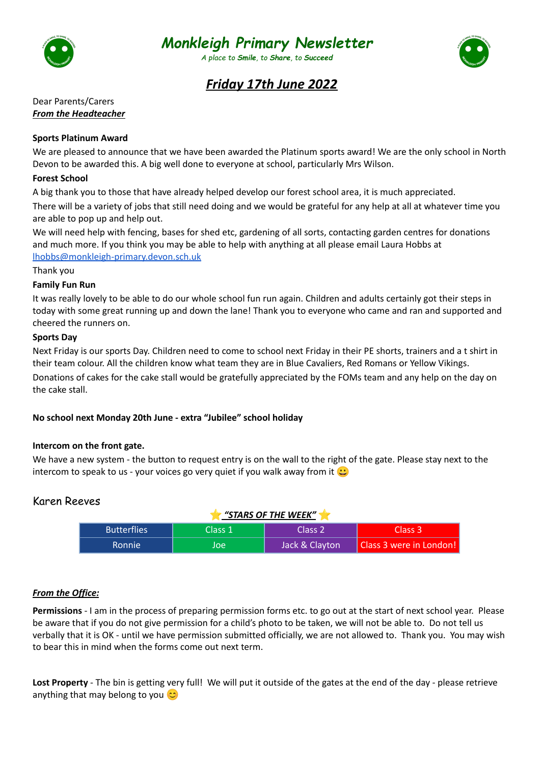

# *Monkleigh Primary Newsletter*

*A place to Smile, to Share, to Succeed*



# *Friday 17th June 2022*

Dear Parents/Carers *From the Headteacher*

#### **Sports Platinum Award**

We are pleased to announce that we have been awarded the Platinum sports award! We are the only school in North Devon to be awarded this. A big well done to everyone at school, particularly Mrs Wilson.

### **Forest School**

A big thank you to those that have already helped develop our forest school area, it is much appreciated.

There will be a variety of jobs that still need doing and we would be grateful for any help at all at whatever time you are able to pop up and help out.

We will need help with fencing, bases for shed etc, gardening of all sorts, contacting garden centres for donations and much more. If you think you may be able to help with anything at all please email Laura Hobbs at [lhobbs@monkleigh-primary.devon.sch.uk](mailto:lhobbs@monkleigh-primary.devon.sch.uk)

Thank you

#### **Family Fun Run**

It was really lovely to be able to do our whole school fun run again. Children and adults certainly got their steps in today with some great running up and down the lane! Thank you to everyone who came and ran and supported and cheered the runners on.

#### **Sports Day**

Next Friday is our sports Day. Children need to come to school next Friday in their PE shorts, trainers and a t shirt in their team colour. All the children know what team they are in Blue Cavaliers, Red Romans or Yellow Vikings. Donations of cakes for the cake stall would be gratefully appreciated by the FOMs team and any help on the day on the cake stall.

# **No school next Monday 20th June - extra "Jubilee" school holiday**

#### **Intercom on the front gate.**

We have a new system - the button to request entry is on the wall to the right of the gate. Please stay next to the intercom to speak to us - your voices go very quiet if you walk away from it  $\ddot{\mathbf{C}}$ 

# Karen Reeves

| "STARS OF THE WEEK" |           |                |                         |  |  |
|---------------------|-----------|----------------|-------------------------|--|--|
| <b>Butterflies</b>  | 'Class 1. | Class 2        | Class 3                 |  |  |
| <b>Ronnie</b>       | Joe       | Jack & Clayton | Class 3 were in London! |  |  |

# *From the Office:*

**Permissions** - I am in the process of preparing permission forms etc. to go out at the start of next school year. Please be aware that if you do not give permission for a child's photo to be taken, we will not be able to. Do not tell us verbally that it is OK - until we have permission submitted officially, we are not allowed to. Thank you. You may wish to bear this in mind when the forms come out next term.

**Lost Property** - The bin is getting very full! We will put it outside of the gates at the end of the day - please retrieve anything that may belong to you  $\heartsuit$